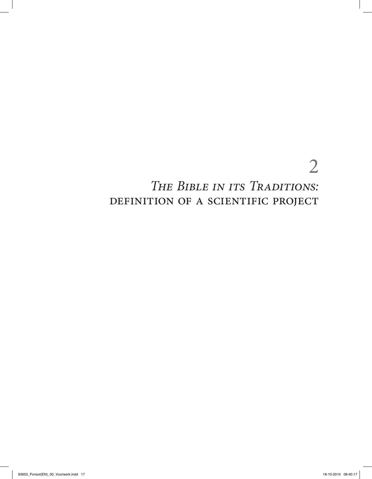# *The Bible in its Traditions:*  DEFINITION OF A SCIENTIFIC PROJECT

2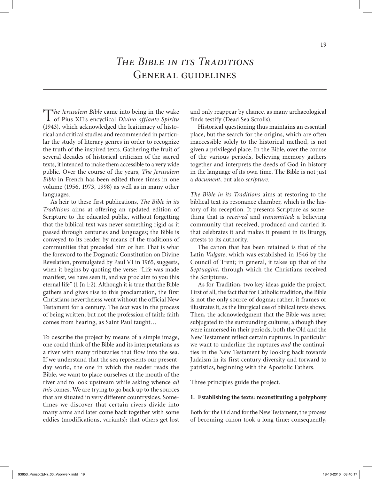T*he Jerusalem Bible* came into being in the wake of Pius XII's encyclical *Divino afflante Spiritu*  (1943), which acknowledged the legitimacy of historical and critical studies and recommended in particular the study of literary genres in order to recognize the truth of the inspired texts. Gathering the fruit of several decades of historical criticism of the sacred texts, it intended to make them accessible to a very wide public. Over the course of the years, *The Jerusalem Bible* in French has been edited three times in one volume (1956, 1973, 1998) as well as in many other languages.

As heir to these first publications, *The Bible in its Traditions* aims at offering an updated edition of Scripture to the educated public, without forgetting that the biblical text was never something rigid as it passed through centuries and languages; the Bible is conveyed to its reader by means of the traditions of communities that preceded him or her. That is what the foreword to the Dogmatic Constitution on Divine Revelation, promulgated by Paul VI in 1965, suggests, when it begins by quoting the verse: "Life was made manifest, we have seen it, and we proclaim to you this eternal life" (1 Jn 1:2). Although it is true that the Bible gathers and gives rise to this proclamation, the first Christians nevertheless went without the official New Testament for a century. The *text* was in the process of being written, but not the profession of faith: faith comes from hearing, as Saint Paul taught…

To describe the project by means of a simple image, one could think of the Bible and its interpretations as a river with many tributaries that flow into the sea. If we understand that the sea represents our presentday world, the one in which the reader reads the Bible, we want to place ourselves at the mouth of the river and to look upstream while asking whence *all this* comes. We are trying to go back up to the sources that are situated in very different countrysides. Sometimes we discover that certain rivers divide into many arms and later come back together with some eddies (modifications, variants); that others get lost

and only reappear by chance, as many archaeological finds testify (Dead Sea Scrolls).

Historical questioning thus maintains an essential place, but the search for the origins, which are often inaccessible solely to the historical method, is not given a privileged place. In the Bible, over the course of the various periods, believing memory gathers together and interprets the deeds of God in history in the language of its own time. The Bible is not just a *document*, but also *scripture*.

*The Bible in its Traditions* aims at restoring to the biblical text its resonance chamber, which is the history of its reception. It presents Scripture as something that is *received* and *transmitted*: a believing community that received, produced and carried it, that celebrates it and makes it present in its liturgy, attests to its authority.

The canon that has been retained is that of the Latin *Vulgate*, which was established in 1546 by the Council of Trent; in general, it takes up that of the *Septuagint*, through which the Christians received the Scriptures.

As for Tradition, two key ideas guide the project. First of all, the fact that for Catholic tradition, the Bible is not the only source of dogma; rather, it frames or illustrates it, as the liturgical use of biblical texts shows. Then, the acknowledgment that the Bible was never subjugated to the surrounding cultures; although they were immersed in their periods, both the Old and the New Testament reflect certain ruptures. In particular we want to underline the ruptures *and* the continuities in the New Testament by looking back towards Judaism in its first century diversity and forward to patristics, beginning with the Apostolic Fathers.

Three principles guide the project.

# **1. Establishing the texts: reconstituting a polyphony**

Both for the Old and for the New Testament, the process of becoming canon took a long time; consequently,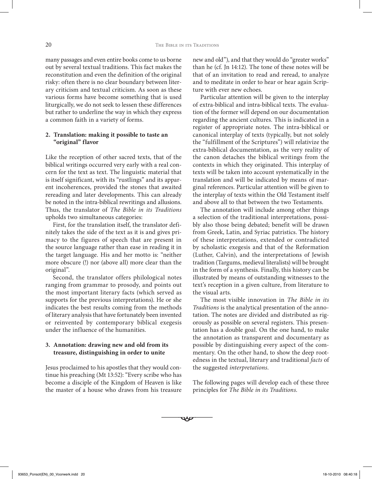many passages and even entire books come to us borne out by several textual traditions. This fact makes the reconstitution and even the definition of the original risky: often there is no clear boundary between literary criticism and textual criticism. As soon as these various forms have become something that is used liturgically, we do not seek to lessen these differences but rather to underline the way in which they express a common faith in a variety of forms.

# **2. Translation: making it possible to taste an "original" flavor**

Like the reception of other sacred texts, that of the biblical writings occurred very early with a real concern for the text as text. The linguistic material that is itself significant, with its "rustlings" and its apparent incoherences, provided the stones that awaited rereading and later developments. This can already be noted in the intra-biblical rewritings and allusions. Thus, the translator of *The Bible in its Traditions*  upholds two simultaneous categories:

First, for the translation itself, the translator definitely takes the side of the text as it is and gives primacy to the figures of speech that are present in the source language rather than ease in reading it in the target language. His and her motto is: "neither more obscure (!) nor (above all) more clear than the original".

Second, the translator offers philological notes ranging from grammar to prosody, and points out the most important literary facts (which served as supports for the previous interpretations). He or she indicates the best results coming from the methods of literary analysis that have fortunately been invented or reinvented by contemporary biblical exegesis under the influence of the humanities.

# **3. Annotation: drawing new and old from its treasure, distinguishing in order to unite**

Jesus proclaimed to his apostles that they would continue his preaching (Mt 13:52): "Every scribe who has become a disciple of the Kingdom of Heaven is like the master of a house who draws from his treasure new and old"), and that they would do "greater works" than he (cf. Jn 14:12). The tone of these notes will be that of an invitation to read and reread, to analyze and to meditate in order to hear or hear again Scripture with ever new echoes.

Particular attention will be given to the interplay of extra-biblical and intra-biblical texts. The evaluation of the former will depend on our documentation regarding the ancient cultures. This is indicated in a register of appropriate notes. The intra-biblical or canonical interplay of texts (typically, but not solely the "fulfillment of the Scriptures") will relativize the extra-biblical documentation, as the very reality of the canon detaches the biblical writings from the contexts in which they originated. This interplay of texts will be taken into account systematically in the translation and will be indicated by means of marginal references. Particular attention will be given to the interplay of texts within the Old Testament itself and above all to that between the two Testaments.

The annotation will include among other things a selection of the traditional interpretations, possibly also those being debated; benefit will be drawn from Greek, Latin, and Syriac patristics. The history of these interpretations, extended or contradicted by scholastic exegesis and that of the Reformation (Luther, Calvin), and the interpretations of Jewish tradition (Targums, medieval literalists) will be brought in the form of a synthesis. Finally, this history can be illustrated by means of outstanding witnesses to the text's reception in a given culture, from literature to the visual arts.

The most visible innovation in *The Bible in its Traditions* is the analytical presentation of the annotation. The notes are divided and distributed as rigorously as possible on several registers. This presentation has a double goal. On the one hand, to make the annotation as transparent and documentary as possible by distinguishing every aspect of the commentary. On the other hand, to show the deep rootedness in the textual, literary and traditional *facts* of the suggested *interpretations*.

The following pages will develop each of these three principles for *The Bible in its Traditions*.

 $-$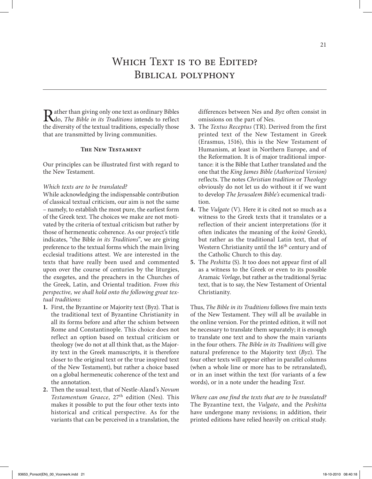# WHICH TEXT IS TO BE EDITED? BIBLICAL POLYPHONY

Rather than giving only one text as ordinary Bibles<br>the diventity of the textual traditions associally these the diversity of the textual traditions, especially those that are transmitted by living communities.

# **The New Testament**

Our principles can be illustrated first with regard to the New Testament.

#### *Which texts are to be translated?*

While acknowledging the indispensable contribution of classical textual criticism, our aim is not the same – namely, to establish the most pure, the earliest form of the Greek text. The choices we make are not motivated by the criteria of textual criticism but rather by those of hermeneutic coherence. As our project's title indicates, "the Bible *in its Traditions*", we are giving preference to the textual forms which the main living ecclesial traditions attest. We are interested in the texts that have really been used and commented upon over the course of centuries by the liturgies, the exegetes, and the preachers in the Churches of the Greek, Latin, and Oriental tradition. *From this perspective, we shall hold onto the following great textual traditions:*

- **1.** First, the Byzantine or Majority text (Byz). That is the traditional text of Byzantine Christianity in all its forms before and after the schism between Rome and Constantinople. This choice does not reflect an option based on textual criticism or theology (we do not at all think that, as the Majority text in the Greek manuscripts, it is therefore closer to the original text or the true inspired text of the New Testament), but rather a choice based on a global hermeneutic coherence of the text and the annotation.
- **2.** Then the usual text, that of Nestle-Aland's *Novum Testamentum Graece*, 27th edition (Nes). This makes it possible to put the four other texts into historical and critical perspective. As for the variants that can be perceived in a translation, the

differences between Nes and *Byz* often consist in omissions on the part of Nes.

- **3.** The *Textus Receptus* (TR). Derived from the first printed text of the New Testament in Greek (Erasmus, 1516), this is the New Testament of Humanism, at least in Northern Europe, and of the Reformation. It is of major traditional importance: it is the Bible that Luther translated and the one that the *King James Bible (Authorized Version)*  reflects. The notes *Christian tradition* or *Theology*  obviously do not let us do without it if we want to develop *The Jerusalem Bible's* ecumenical tradition.
- **4.** The *Vulgate* (V). Here it is cited not so much as a witness to the Greek texts that it translates or a reflection of their ancient interpretations (for it often indicates the meaning of the *koinè* Greek), but rather as the traditional Latin text, that of Western Christianity until the 16<sup>th</sup> century and of the Catholic Church to this day.
- **5.** The *Peshitta* (S). It too does not appear first of all as a witness to the Greek or even to its possible Aramaic *Vorlage*, but rather as the traditional Syriac text, that is to say, the New Testament of Oriental Christianity.

Thus, *The Bible in its Traditions* follows five main texts of the New Testament. They will all be available in the online version. For the printed edition, it will not be necessary to translate them separately; it is enough to translate one text and to show the main variants in the four others. *The Bible in its Traditions* will give natural preference to the Majority text (*Byz*). The four other texts will appear either in parallel columns (when a whole line or more has to be retranslated), or in an inset within the text (for variants of a few words), or in a note under the heading *Text*.

*Where can one find the texts that are to be translated?* The Byzantine text, the *Vulgate*, and the *Peshitta* have undergone many revisions; in addition, their printed editions have relied heavily on critical study.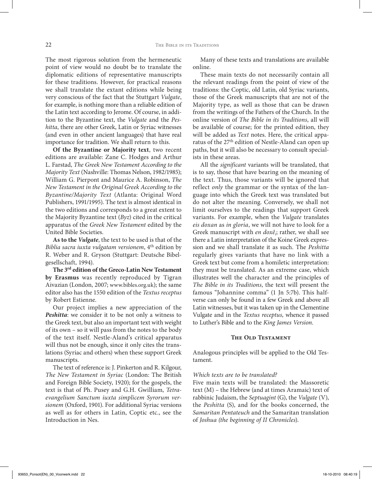The most rigorous solution from the hermeneutic point of view would no doubt be to translate the diplomatic editions of representative manuscripts for these traditions. However, for practical reasons we shall translate the extant editions while being very conscious of the fact that the Stuttgart *Vulgate*, for example, is nothing more than a reliable edition of the Latin text according to Jerome. Of course, in addition to the Byzantine text, the *Vulgate* and the *Peshitta*, there are other Greek, Latin or Syriac witnesses (and even in other ancient languages) that have real importance for tradition. We shall return to this.

**Of the Byzantine or Majority text**, two recent editions are available: Zane C. Hodges and Arthur L. Farstad, *The Greek New Testament According to the Majority Text* (Nashville: Thomas Nelson, 1982/1985); William G. Pierpont and Maurice A. Robinson, *The New Testament in the Original Greek According to the Byzantine/Majority Text* (Atlanta: Original Word Publishers, 1991/1995). The text is almost identical in the two editions and corresponds to a great extent to the Majority Byzantine text (*Byz*) cited in the critical apparatus of the *Greek New Testament* edited by the United Bible Societies.

**As to the** *Vulgate*, the text to be used is that of the *Biblia sacra iuxta vulgatam versionem*, 4th edition by R. Weber and R. Gryson (Stuttgart: Deutsche Bibelgesellschaft, 1994).

**The 3rd edition of the Greco-Latin New Testament by Erasmus** was recently reproduced by Tigran Aivazian (London, 2007; www.bibles.org.uk); the same editor also has the 1550 edition of the *Textus receptus*  by Robert Estienne.

Our project implies a new appreciation of the *Peshitta*: we consider it to be not only a witness to the Greek text, but also an important text with weight of its own – so it will pass from the notes to the body of the text itself. Nestle-Aland's critical apparatus will thus not be enough, since it only cites the translations (Syriac and others) when these support Greek manuscripts.

The text of reference is: J. Pinkerton and R. Kilgour, *The New Testament in Syriac* (London: The British and Foreign Bible Society, 1920); for the gospels, the text is that of Ph. Pusey and G.H. Gwilliam, *Tetraevangelium Sanctum iuxta simplicem Syrorum versionem* (Oxford, 1901). For additional Syriac versions as well as for others in Latin, Coptic etc., see the Introduction in Nes.

Many of these texts and translations are available online.

These main texts do not necessarily contain all the relevant readings from the point of view of the traditions: the Coptic, old Latin, old Syriac variants, those of the Greek manuscripts that are not of the Majority type, as well as those that can be drawn from the writings of the Fathers of the Church. In the online version of *The Bible in its Traditions*, all will be available of course; for the printed edition, they will be added as *Text* notes. Here, the critical apparatus of the 27<sup>th</sup> edition of Nestle-Aland can open up paths, but it will also be necessary to consult specialists in these areas.

All the *significant* variants will be translated, that is to say, those that have bearing on the meaning of the text. Thus, those variants will be ignored that reflect *only* the grammar or the syntax of the language into which the Greek text was translated but do not alter the meaning. Conversely, we shall not limit ourselves to the readings that support Greek variants. For example, when the *Vulgate* translates *eis doxan* as *in gloria*, we will not have to look for a Greek manuscript with *en doxê<sub>i</sub>*; rather, we shall see there a Latin interpretation of the Koine Greek expression and we shall translate it as such. The *Peshitta*  regularly gives variants that have no link with a Greek text but come from a homiletic interpretation: they must be translated. As an extreme case, which illustrates well the character and the principles of *The Bible in its Traditions*, the text will present the famous "Johannine comma" (1 Jn 5:7b). This halfverse can only be found in a few Greek and above all Latin witnesses, but it was taken up in the Clementine Vulgate and in the *Textus receptus*, whence it passed to Luther's Bible and to the *King James Version*.

#### **The Old Testament**

Analogous principles will be applied to the Old Testament.

#### *Which texts are to be translated?*

Five main texts will be translated: the Massoretic text (M) – the Hebrew (and at times Aramaic) text of rabbinic Judaism, the *Septuagint* (G), the *Vulgate* (V), the *Peshitta* (S), and for the books concerned, the *Samaritan Pentateuch* and the Samaritan translation of *Joshua (the beginning of II Chronicles*).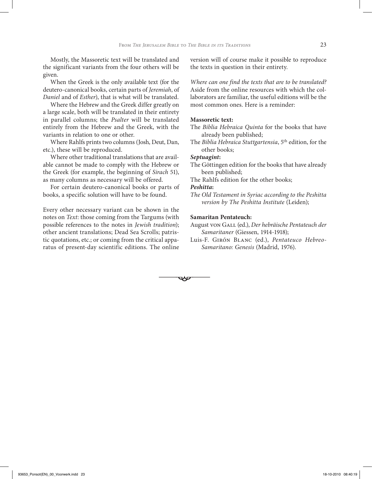Mostly, the Massoretic text will be translated and the significant variants from the four others will be given.

When the Greek is the only available text (for the deutero-canonical books, certain parts of *Jeremiah*, of *Daniel* and of *Esther*), that is what will be translated.

Where the Hebrew and the Greek differ greatly on a large scale, both will be translated in their entirety in parallel columns; the *Psalter* will be translated entirely from the Hebrew and the Greek, with the variants in relation to one or other.

Where Rahlfs prints two columns (Josh, Deut, Dan, etc.), these will be reproduced.

Where other traditional translations that are available cannot be made to comply with the Hebrew or the Greek (for example, the beginning of *Sirach* 51), as many columns as necessary will be offered.

For certain deutero-canonical books or parts of books, a specific solution will have to be found.

Every other necessary variant can be shown in the notes on *Text*: those coming from the Targums (with possible references to the notes in *Jewish tradition*); other ancient translations; Dead Sea Scrolls; patristic quotations, etc.; or coming from the critical apparatus of present-day scientific editions. The online version will of course make it possible to reproduce the texts in question in their entirety.

*Where can one find the texts that are to be translated?* Aside from the online resources with which the collaborators are familiar, the useful editions will be the most common ones. Here is a reminder:

#### **Massoretic text:**

The *Biblia Hebraica Quinta* for the books that have already been published;

The *Biblia Hebraica Stuttgartensia*, 5th edition, for the other books;

# *Septuagint***:**

- The Göttingen edition for the books that have already been published;
- The Rahlfs edition for the other books;

# *Peshitta***:**

 $\overline{\phantom{a}}$ 

*The Old Testament in Syriac according to the Peshitta version by The Peshitta Institute* (Leiden);

### **Samaritan Pentateuch:**

August von Gall (ed.), *Der hebräische Pentateuch der Samaritaner* (Giessen, 1914-1918);

Luis-F. Girón Blanc (ed.), *Pentateuco Hebreo-Samaritano: Genesis* (Madrid, 1976).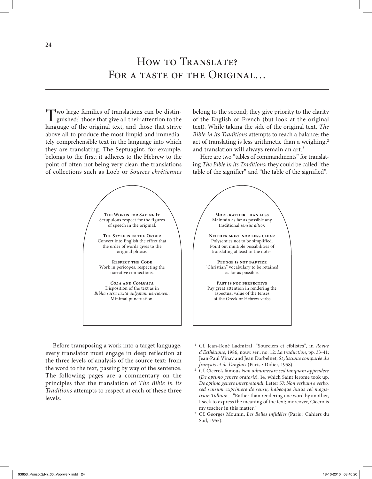Two large families of translations can be distinguished:1 those that give all their attention to the language of the original text, and those that strive above all to produce the most limpid and immediately comprehensible text in the language into which they are translating. The Septuagint, for example, belongs to the first; it adheres to the Hebrew to the point of often not being very clear; the translations of collections such as Loeb or *Sources chrétiennes*

belong to the second; they give priority to the clarity of the English or French (but look at the original text). While taking the side of the original text, *The Bible in its Traditions* attempts to reach a balance: the act of translating is less arithmetic than a weighing,<sup>2</sup> and translation will always remain an art.<sup>3</sup>

Here are two "tables of commandments" for translating *The Bible in its Traditions*; they could be called "the table of the signifier" and "the table of the signified".



Before transposing a work into a target language, every translator must engage in deep reflection at the three levels of analysis of the source-text: from the word to the text, passing by way of the sentence. The following pages are a commentary on the principles that the translation of *The Bible in its Traditions* attempts to respect at each of these three levels.

- <sup>1</sup> Cf. Jean-René Ladmiral, "Sourciers et ciblistes", in *Revue d'Esthétique*, 1986, nouv. sér., no. 12: *La traduction*, pp. 33-41; Jean-Paul Vinay and Jean Darbelnet, *Stylistique comparée du français et de l'anglais* (Paris : Didier, 1958).
- <sup>2</sup> Cf. Cicero's famous *Non adnumerare sed tanquam appendere*  (*De optimo genere oratoris*), 14, which Saint Jerome took up, *De optimo genere interpretandi*, Letter 57: *Non verbum e verbo, sed sensum exprimere de sensu, habeoque huius rei magistrum Tullium* – "Rather than rendering one word by another, I seek to express the meaning of the text; moreover, Cicero is my teacher in this matter."
- <sup>3</sup> Cf. Georges Mounin, *Les Belles infidèles* (Paris : Cahiers du Sud, 1955).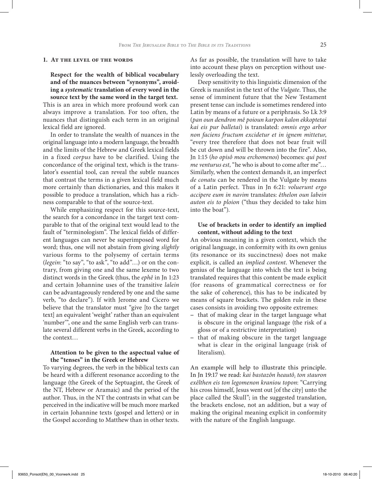#### **1. At the level of the words**

**Respect for the wealth of biblical vocabulary and of the nuances between "synonyms", avoiding a** *systematic* **translation of every word in the source text by the same word in the target text.**

This is an area in which more profound work can always improve a translation. For too often, the nuances that distinguish each term in an original lexical field are ignored.

In order to translate the wealth of nuances in the original language into a modern language, the breadth and the limits of the Hebrew and Greek lexical fields in a fixed *corpus* have to be clarified. Using the concordance of the original text, which is the translator's essential tool, can reveal the subtle nuances that contrast the terms in a given lexical field much more certainly than dictionaries, and this makes it possible to produce a translation, which has a richness comparable to that of the source-text.

While emphasizing respect for this source-text, the search for a concordance in the target text comparable to that of the original text would lead to the fault of "terminologism". The lexical fields of different languages can never be superimposed word for word; thus, one will not abstain from giving *slightly*  various forms to the polysemy of certain terms (*legein*: "to say", "to ask", "to add"…) or on the contrary, from giving one and the same lexeme to two distinct words in the Greek (thus, the *ephê* in Jn 1:23 and certain Johannine uses of the transitive *lalein*  can be advantageously rendered by one and the same verb, "to declare"). If with Jerome and Cicero we believe that the translator must "give [to the target text] an equivalent 'weight' rather than an equivalent 'number'", one and the same English verb can translate several different verbs in the Greek, according to the context…

# **Attention to be given to the aspectual value of the "tenses" in the Greek or Hebrew**

To varying degrees, the verb in the biblical texts can be heard with a different resonance according to the language (the Greek of the Septuagint, the Greek of the NT, Hebrew or Aramaic) and the period of the author. Thus, in the NT the contrasts in what can be perceived in the indicative will be much more marked in certain Johannine texts (gospel and letters) or in the Gospel according to Matthew than in other texts.

As far as possible, the translation will have to take into account these plays on perception without uselessly overloading the text.

Deep sensitivity to this linguistic dimension of the Greek is manifest in the text of the *Vulgate*. Thus, the sense of imminent future that the New Testament present tense can include is sometimes rendered into Latin by means of a future or a periphrasis. So Lk 3:9 (*pan oun dendron mê poioun karpon kalon ekkoptetai kai eis pur balletai*) is translated: *omnis ergo arbor non faciens fructum excidetur et in ignem mittetur*, "every tree therefore that does not bear fruit will be cut down and will be thrown into the fire". Also, Jn 1:15 (*ho opisô mou erchomenos*) becomes: *qui post me venturus est*, "he who is about to come after me"… Similarly, when the context demands it, an imperfect *de conatu* can be rendered in the Vulgate by means of a Latin perfect. Thus in Jn 6:21: *voluerunt ergo accipere eum in navim* translates: *êthelon oun labein auton eis to ploion* ("thus they decided to take him into the boat").

# **Use of brackets in order to identify an implied content, without adding to the text**

An obvious meaning in a given context, which the original language, in conformity with its own genius (its resonance or its succinctness) does not make explicit, is called an *implied content*. Whenever the genius of the language into which the text is being translated requires that this content be made explicit (for reasons of grammatical correctness or for the sake of coherence), this has to be indicated by means of square brackets. The golden rule in these cases consists in avoiding two opposite extremes:

- that of making clear in the target language what is obscure in the original language (the risk of a gloss or of a restrictive interpretation)
- − that of making obscure in the target language what is clear in the original language (risk of literalism).

An example will help to illustrate this principle. In Jn 19:17 we read: *kai bastazôn heautô<sub>i</sub> ton stauron exêlthen eis ton legomenon kraniou topon*: "Carrying his cross himself, Jesus went out [of the city] unto the place called the Skull"; in the suggested translation, the brackets enclose, not an addition, but a way of making the original meaning explicit in conformity with the nature of the English language.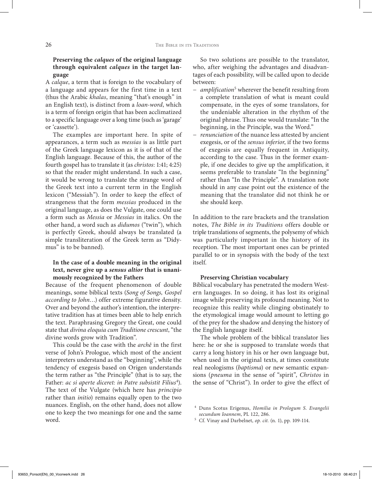# **Preserving the** *calques* **of the original language through equivalent** *calques* **in the target language**

A *calque*, a term that is foreign to the vocabulary of a language and appears for the first time in a text (thus the Arabic *khalas*, meaning "that's enough" in an English text), is distinct from a *loan-word*, which is a term of foreign origin that has been acclimatized to a specific language over a long time (such as 'garage' or 'cassette').

The examples are important here. In spite of appearances, a term such as *messias* is as little part of the Greek language lexicon as it is of that of the English language. Because of this, the author of the fourth gospel has to translate it (as *christos*: 1:41; 4:25) so that the reader might understand. In such a case, it would be wrong to translate the strange word of the Greek text into a current term in the English lexicon ("Messiah"). In order to keep the effect of strangeness that the form *messias* produced in the original language, as does the Vulgate, one could use a form such as *Messia* or *Messias* in italics. On the other hand, a word such as *didumos* ("twin"), which is perfectly Greek, should always be translated (a simple transliteration of the Greek term as "Didymus" is to be banned).

# **In the case of a double meaning in the original text, never give up a** *sensus altior* **that is unanimously recognized by the Fathers**

Because of the frequent phenomenon of double meanings, some biblical texts (*Song of Songs, Gospel according to John…*) offer extreme figurative density. Over and beyond the author's intention, the interpretative tradition has at times been able to help enrich the text. Paraphrasing Gregory the Great, one could state that *divina eloquia cum Traditione crescunt*, "the divine words grow with Tradition".

This could be the case with the *archê* in the first verse of John's Prologue, which most of the ancient interpreters understand as the "beginning", while the tendency of exegesis based on Origen understands the term rather as "the Principle" (that is to say, the Father: *ac si aperte diceret: in Patre subsistit Filius<sup>4</sup>*). The text of the Vulgate (which here has *principio*  rather than *initio*) remains equally open to the two nuances. English, on the other hand, does not allow one to keep the two meanings for one and the same word.

So two solutions are possible to the translator, who, after weighing the advantages and disadvantages of each possibility, will be called upon to decide between:

- *− amplification*<sup>5</sup> wherever the benefit resulting from a complete translation of what is meant could compensate, in the eyes of some translators, for the undeniable alteration in the rhythm of the original phrase. Thus one would translate: "In the beginning, in the Principle, was the Word."
- *− renunciation* of the nuance less attested by ancient exegesis, or of the *sensus inferior*, if the two forms of exegesis are equally frequent in Antiquity, according to the case. Thus in the former example, if one decides to give up the amplification, it seems preferable to translate "In the beginning" rather than "In the Principle". A translation note should in any case point out the existence of the meaning that the translator did not think he or she should keep.

In addition to the rare brackets and the translation notes, *The Bible in its Traditions* offers double or triple translations of segments, the polysemy of which was particularly important in the history of its reception. The most important ones can be printed parallel to or in synopsis with the body of the text itself.

#### **Preserving Christian vocabulary**

Biblical vocabulary has penetrated the modern Western languages. In so doing, it has lost its original image while preserving its profound meaning. Not to recognize this reality while clinging obstinately to the etymological image would amount to letting go of the prey for the shadow and denying the history of the English language itself.

The whole problem of the biblical translator lies here: he or she is supposed to translate words that carry a long history in his or her own language but, when used in the original texts, at times constitute real neologisms (*baptisma*) or new semantic expansions (*pneuma* in the sense of "spirit", *Christos* in the sense of "Christ"). In order to give the effect of

<sup>4</sup> Duns Scotus Erigenus, *Homilia in Prologum S. Evangelii secundum Ioannem*, PL 122, 286.

<sup>5</sup> Cf. Vinay and Darbelnet, *op. cit.* (n. 1), pp. 109-114.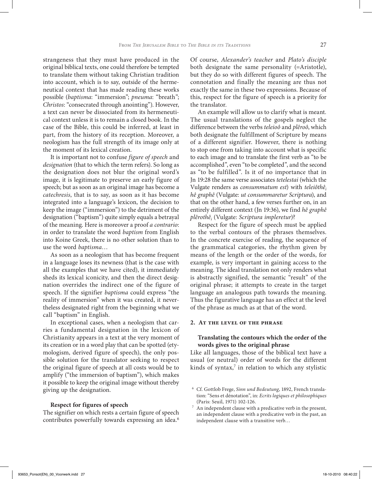strangeness that they must have produced in the original biblical texts, one could therefore be tempted to translate them without taking Christian tradition into account, which is to say, outside of the hermeneutical context that has made reading these works possible (*baptisma*: "immersion"; *pneuma*: "breath"; *Christos*: "consecrated through anointing"). However, a text can never be dissociated from its hermeneutical context unless it is to remain a closed book. In the case of the Bible, this could be inferred, at least in part, from the history of its reception. Moreover, a neologism has the full strength of its image only at the moment of its lexical creation.

It is important not to confuse *figure of speech* and *designation* (that to which the term refers). So long as the designation does not blur the original word's image, it is legitimate to preserve an early figure of speech; but as soon as an original image has become a *catechresis*, that is to say, as soon as it has become integrated into a language's lexicon, the decision to keep the image ("immersion") to the detriment of the designation ("baptism") quite simply equals a betrayal of the meaning. Here is moreover a proof *a contrario*: in order to translate the word *baptism* from English into Koine Greek, there is no other solution than to use the word *baptisma*…

As soon as a neologism that has become frequent in a language loses its newness (that is the case with all the examples that we have cited), it immediately sheds its lexical iconicity, and then the direct designation overrides the indirect one of the figure of speech. If the signifier *baptisma* could express "the reality of immersion" when it was created, it nevertheless designated right from the beginning what we call "baptism" in English.

In exceptional cases, when a neologism that carries a fundamental designation in the lexicon of Christianity appears in a text at the very moment of its creation or in a word play that can be spotted (etymologism, derived figure of speech), the only possible solution for the translator seeking to respect the original figure of speech at all costs would be to amplify ("the immersion of baptism"), which makes it possible to keep the original image without thereby giving up the designation.

#### **Respect for figures of speech**

The signifier on which rests a certain figure of speech contributes powerfully towards expressing an idea.<sup>6</sup>

Of course, *Alexander's teacher* and *Plato's disciple*  both designate the same personality (=Aristotle), but they do so with different figures of speech. The connotation and finally the meaning are thus not exactly the same in these two expressions. Because of this, respect for the figure of speech is a priority for the translator.

An example will allow us to clarify what is meant*.*  The usual translations of the gospels neglect the difference between the verbs *teleioô* and *plêroô*, which both designate the fulfillment of Scripture by means of a different signifier. However, there is nothing to stop one from taking into account what is specific to each image and to translate the first verb as "to be accomplished", even "to be completed", and the second as "to be fulfilled". Is it of no importance that in Jn 19:28 the same verse associates *tetelestai* (which the Vulgate renders as *consummatum est*) with *teleiôthêi hê graphê* (Vulgate: *ut consummaretur Scriptura*), and that on the other hand, a few verses further on, in an entirely different context (Jn 19:36), we find *hê graphê plêrothêi* (Vulgate: *Scriptura impleretur*)?

Respect for the figure of speech must be applied to the verbal contours of the phrases themselves. In the concrete exercise of reading, the sequence of the grammatical categories, the rhythm given by means of the length or the order of the words, for example, is very important in gaining access to the meaning. The ideal translation not only renders what is abstractly signified, the semantic "result" of the original phrase; it attempts to create in the target language an analogous path towards the meaning. Thus the figurative language has an effect at the level of the phrase as much as at that of the word.

#### **2. At the level of the phrase**

# **Translating the contours which the order of the words gives to the original phrase**

Like all languages, those of the biblical text have a usual (or neutral) order of words for the different kinds of syntax,<sup>7</sup> in relation to which any stylistic

<sup>6</sup> Cf. Gottlob Frege, *Sinn und Bedeutung*, 1892, French translation: "Sens et dénotation", in: *Ecrits logiques et philosophiques* (Paris: Seuil, 1971) 102-126.

 $^7\,$  An independent clause with a predicative verb in the present, an independent clause with a predicative verb in the past, an independent clause with a transitive verb…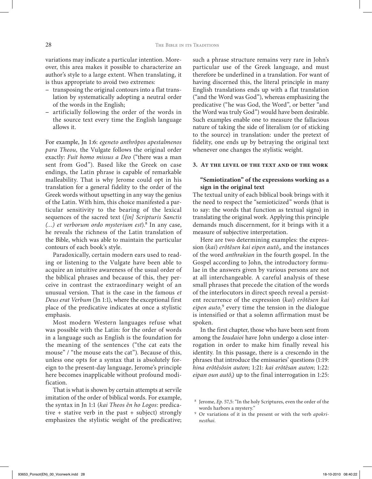variations may indicate a particular intention. Moreover, this area makes it possible to characterize an author's style to a large extent. When translating, it is thus appropriate to avoid two extremes:

- − transposing the original contours into a flat translation by systematically adopting a neutral order of the words in the English;
- − artificially following the order of the words in the source text every time the English language allows it.

For example, Jn 1:6: *egeneto anthrôpos apestalmenos para Theou,* the Vulgate follows the original order exactly: *Fuit homo missus a Deo* ("there was a man sent from God"). Based like the Greek on case endings, the Latin phrase is capable of remarkable malleability. That is why Jerome could opt in his translation for a general fidelity to the order of the Greek words without upsetting in any way the genius of the Latin. With him, this choice manifested a particular sensitivity to the bearing of the lexical sequences of the sacred text (*[in] Scripturis Sanctis (…) et verborum ordo mysterium est*).8 In any case, he reveals the richness of the Latin translation of the Bible, which was able to maintain the particular contours of each book's style.

Paradoxically, certain modern ears used to reading or listening to the Vulgate have been able to acquire an intuitive awareness of the usual order of the biblical phrases and because of this, they perceive in contrast the extraordinary weight of an unusual version. That is the case in the famous *et Deus erat Verbum* (Jn 1:1), where the exceptional first place of the predicative indicates at once a stylistic emphasis.

Most modern Western languages refuse what was possible with the Latin: for the order of words in a language such as English is the foundation for the meaning of the sentences ("the cat eats the mouse" / "the mouse eats the cat"). Because of this, unless one opts for a syntax that is absolutely foreign to the present-day language, Jerome's principle here becomes inapplicable without profound modification.

That is what is shown by certain attempts at servile imitation of the order of biblical words. For example, the syntax in Jn 1:1 (*kai Theos ên ho Logos*: predicative + stative verb in the past + subject) strongly emphasizes the stylistic weight of the predicative; such a phrase structure remains very rare in John's particular use of the Greek language, and must therefore be underlined in a translation. For want of having discerned this, the literal principle in many English translations ends up with a flat translation ("and the Word was God"), whereas emphasizing the predicative ("he was God, the Word", or better "and the Word was truly God") would have been desirable. Such examples enable one to measure the fallacious nature of taking the side of literalism (or of sticking to the source) in translation: under the pretext of fidelity, one ends up by betraying the original text whenever one changes the stylistic weight.

#### **3. At the level of the text and of the work**

# **"Semiotization" of the expressions working as a sign in the original text**

The textual unity of each biblical book brings with it the need to respect the "semioticized" words (that is to say: the words that function as textual signs) in translating the original work. Applying this principle demands much discernment, for it brings with it a measure of subjective interpretation.

Here are two determining examples: the expression (*kai*) *erôtêsen kai eipen autôi* , and the instances of the word *anthrakian* in the fourth gospel. In the Gospel according to John, the introductory formulae in the answers given by various persons are not at all interchangeable. A careful analysis of these small phrases that precede the citation of the words of the interlocutors in direct speech reveal a persistent recurrence of the expression (*kai*) *erôtêsen kai*  eipen auto<sub>i</sub><sup>9</sup> every time the tension in the dialogue is intensified or that a solemn affirmation must be spoken.

In the first chapter, those who have been sent from among the *Ioudaioi* have John undergo a close interrogation in order to make him finally reveal his identity. In this passage, there is a crescendo in the phrases that introduce the emissaries' questions (1:19: *hina erôtêsôsin auton*; 1:21: *kai erôtêsan auton*; 1:22: eipan oun autô<sub>i</sub>) up to the final interrogation in 1:25:

<sup>8</sup> Jerome, *Ep*. 57,5: "In the holy Scriptures, even the order of the words harbors a mystery."

<sup>9</sup> Or variations of it in the present or with the verb *apokrinesthai*.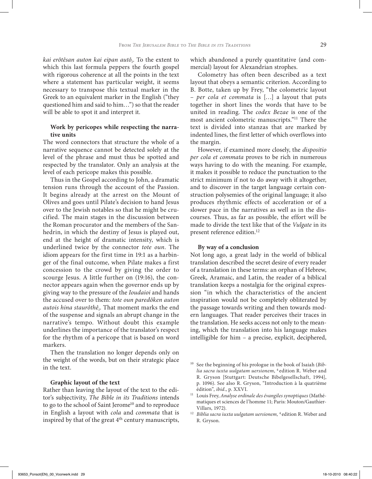*kai erôtêsan auton kai eipan autôi* . To the extent to which this last formula peppers the fourth gospel with rigorous coherence at all the points in the text where a statement has particular weight, it seems necessary to transpose this textual marker in the Greek to an equivalent marker in the English ("they questioned him and said to him…") so that the reader will be able to spot it and interpret it.

# **Work by pericopes while respecting the narrative units**

The word connectors that structure the whole of a narrative sequence cannot be detected solely at the level of the phrase and must thus be spotted and respected by the translator. Only an analysis at the level of each pericope makes this possible.

Thus in the Gospel according to John, a dramatic tension runs through the account of the Passion. It begins already at the arrest on the Mount of Olives and goes until Pilate's decision to hand Jesus over to the Jewish notables so that he might be crucified. The main stages in the discussion between the Roman procurator and the members of the Sanhedrin, in which the destiny of Jesus is played out, end at the height of dramatic intensity, which is underlined twice by the connector *tote oun*. The idiom appears for the first time in 19:1 as a harbinger of the final outcome, when Pilate makes a first concession to the crowd by giving the order to scourge Jesus. A little further on (19:16), the connector appears again when the governor ends up by giving way to the pressure of the *Ioudaioi* and hands the accused over to them: *tote oun paredôken auton autois hina staurôthêi*. That moment marks the end of the suspense and signals an abrupt change in the narrative's tempo. Without doubt this example underlines the importance of the translator's respect for the rhythm of a pericope that is based on word markers.

Then the translation no longer depends only on the weight of the words, but on their strategic place in the text.

#### **Graphic layout of the text**

Rather than leaving the layout of the text to the editor's subjectivity, *The Bible in its Traditions* intends to go to the school of Saint Jerome<sup>10</sup> and to reproduce in English a layout with *cola* and *commata* that is inspired by that of the great 4<sup>th</sup> century manuscripts, which abandoned a purely quantitative (and commercial) layout for Alexandrian strophes.

Colometry has often been described as a text layout that obeys a semantic criterion. According to B. Botte, taken up by Frey, "the colometric layout – *per cola et commata* is […] a layout that puts together in short lines the words that have to be united in reading. The *codex Bezae* is one of the most ancient colometric manuscripts."11 There the text is divided into stanzas that are marked by indented lines, the first letter of which overflows into the margin.

However, if examined more closely, the *dispositio per cola et commata* proves to be rich in numerous ways having to do with the meaning. For example, it makes it possible to reduce the punctuation to the strict minimum if not to do away with it altogether, and to discover in the target language certain construction polysemies of the original language; it also produces rhythmic effects of acceleration or of a slower pace in the narratives as well as in the discourses. Thus, as far as possible, the effort will be made to divide the text like that of the *Vulgate* in its present reference edition.<sup>12</sup>

#### **By way of a conclusion**

Not long ago, a great lady in the world of biblical translation described the secret desire of every reader of a translation in these terms: an orphan of Hebrew, Greek, Aramaic, and Latin, the reader of a biblical translation keeps a nostalgia for the original expression "in which the characteristics of the ancient inspiration would not be completely obliterated by the passage towards writing and then towards modern languages. That reader perceives their traces in the translation. He seeks access not only to the meaning, which the translation into his language makes intelligible for him – a precise, explicit, deciphered,

<sup>10</sup> See the beginning of his prologue in the book of Isaiah (*Biblia sacra iuxta uulgatam uersionem*, 4 edition R. Weber and R. Gryson [Stuttgart: Deutsche Bibelgesellschaft, 1994], p. 1096). See also R. Gryson, "Introduction à la quatrième édition", *ibid*., p. XXVI.

<sup>11</sup> Louis Frey, *Analyse ordinale des évangiles synoptiques* (Mathématiques et sciences de l'homme 11; Paris: Mouton/Gauthier-Villars, 1972).

<sup>&</sup>lt;sup>12</sup> *Biblia sacra iuxta uulgatam uersionem*, <sup>4</sup> edition R. Weber and R. Gryson.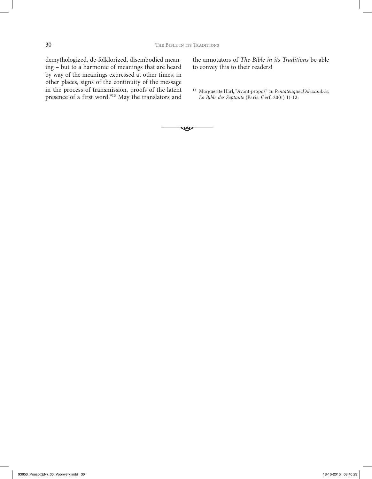demythologized, de-folklorized, disembodied meaning – but to a harmonic of meanings that are heard by way of the meanings expressed at other times, in other places, signs of the continuity of the message in the process of transmission, proofs of the latent presence of a first word."<sup>13</sup> May the translators and the annotators of *The Bible in its Traditions* be able to convey this to their readers!

<sup>13</sup> Marguerite Harl, "Avant-propos" au *Pentateuque d'Alexandrie, La Bible des Septante* (Paris: Cerf, 2001) 11-12.

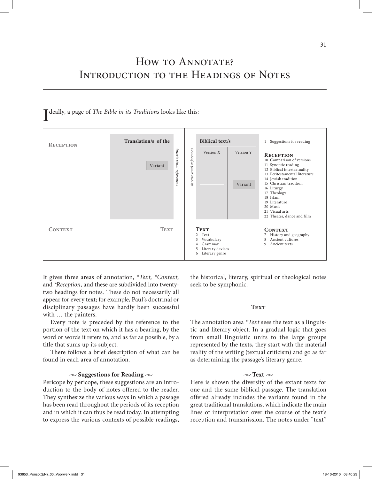# How to ANNOTATE? Introduction to the Headings of Notes



It gives three areas of annotation, *\*Text, \*Context,*  and *\*Reception*, and these are subdivided into twentytwo headings for notes. These do not necessarily all appear for every text; for example, Paul's doctrinal or disciplinary passages have hardly been successful with … the painters.

Every note is preceded by the reference to the portion of the text on which it has a bearing, by the word or words it refers to, and as far as possible, by a title that sums up its subject.

There follows a brief description of what can be found in each area of annotation.

#### **• Suggestions for Reading •**

Pericope by pericope, these suggestions are an introduction to the body of notes offered to the reader. They synthesize the various ways in which a passage has been read throughout the periods of its reception and in which it can thus be read today. In attempting to express the various contexts of possible readings, the historical, literary, spiritual or theological notes seek to be symphonic.

#### **TEXT**

The annotation area *\*Text* sees the text as a linguistic and literary object. In a gradual logic that goes from small linguistic units to the large groups represented by the texts, they start with the material reality of the writing (textual criticism) and go as far as determining the passage's literary genre.

#### $\sim$  Text  $\sim$

Here is shown the diversity of the extant texts for one and the same biblical passage. The translation offered already includes the variants found in the great traditional translations, which indicate the main lines of interpretation over the course of the text's reception and transmission. The notes under "text"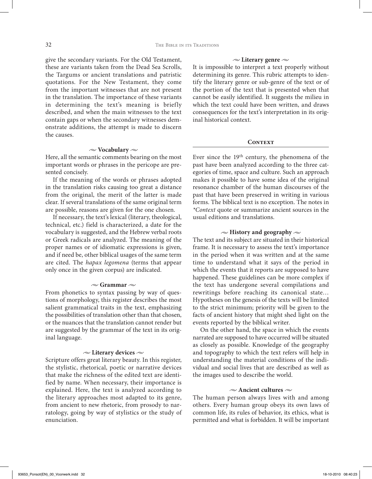give the secondary variants. For the Old Testament, these are variants taken from the Dead Sea Scrolls, the Targums or ancient translations and patristic quotations. For the New Testament, they come from the important witnesses that are not present in the translation. The importance of these variants in determining the text's meaning is briefly described, and when the main witnesses to the text contain gaps or when the secondary witnesses demonstrate additions, the attempt is made to discern the causes.

## **• Vocabulary •**

Here, all the semantic comments bearing on the most important words or phrases in the pericope are presented concisely.

If the meaning of the words or phrases adopted in the translation risks causing too great a distance from the original, the merit of the latter is made clear. If several translations of the same original term are possible, reasons are given for the one chosen.

If necessary, the text's lexical (literary, theological, technical, etc.) field is characterized, a date for the vocabulary is suggested, and the Hebrew verbal roots or Greek radicals are analyzed. The meaning of the proper names or of idiomatic expressions is given, and if need be, other biblical usages of the same term are cited. The *hapax legomena* (terms that appear only once in the given corpus) are indicated.

#### $\sim$  **Grammar**  $\sim$

From phonetics to syntax passing by way of questions of morphology, this register describes the most salient grammatical traits in the text, emphasizing the possibilities of translation other than that chosen, or the nuances that the translation cannot render but are suggested by the grammar of the text in its original language.

#### $\sim$  Literary devices  $\sim$

Scripture offers great literary beauty. In this register, the stylistic, rhetorical, poetic or narrative devices that make the richness of the edited text are identified by name. When necessary, their importance is explained. Here, the text is analyzed according to the literary approaches most adapted to its genre, from ancient to new rhetoric, from prosody to narratology, going by way of stylistics or the study of enunciation.

#### $\sim$  Literary genre  $\sim$

It is impossible to interpret a text properly without determining its genre. This rubric attempts to identify the literary genre or sub-genre of the text or of the portion of the text that is presented when that cannot be easily identified. It suggests the milieu in which the text could have been written, and draws consequences for the text's interpretation in its original historical context.

#### **CONTEXT**

Ever since the  $19<sup>th</sup>$  century, the phenomena of the past have been analyzed according to the three categories of time, space and culture. Such an approach makes it possible to have some idea of the original resonance chamber of the human discourses of the past that have been preserved in writing in various forms. The biblical text is no exception. The notes in *\*Context* quote or summarize ancient sources in the usual editions and translations.

## $\sim$  **History and geography**  $\sim$

The text and its subject are situated in their historical frame. It is necessary to assess the text's importance in the period when it was written and at the same time to understand what it says of the period in which the events that it reports are supposed to have happened. These guidelines can be more complex if the text has undergone several compilations and rewritings before reaching its canonical state… Hypotheses on the genesis of the texts will be limited to the strict minimum; priority will be given to the facts of ancient history that might shed light on the events reported by the biblical writer.

On the other hand, the space in which the events narrated are supposed to have occurred will be situated as closely as possible. Knowledge of the geography and topography to which the text refers will help in understanding the material conditions of the individual and social lives that are described as well as the images used to describe the world.

## **• Ancient cultures •**

The human person always lives with and among others. Every human group obeys its own laws of common life, its rules of behavior, its ethics, what is permitted and what is forbidden. It will be important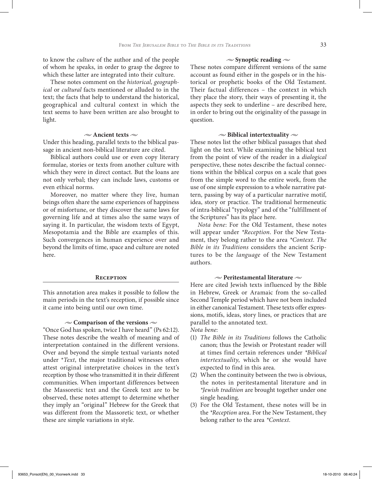to know the *culture* of the author and of the people of whom he speaks, in order to grasp the degree to which these latter are integrated into their culture.

These notes comment on the *historical, geographical* or *cultural* facts mentioned or alluded to in the text; the facts that help to understand the historical, geographical and cultural context in which the text seems to have been written are also brought to light.

#### **• Ancient texts •**

Under this heading, parallel texts to the biblical passage in ancient non-biblical literature are cited.

Biblical authors could use or even copy literary formulae, stories or texts from another culture with which they were in direct contact. But the loans are not only verbal; they can include laws, customs or even ethical norms.

Moreover, no matter where they live, human beings often share the same experiences of happiness or of misfortune, or they discover the same laws for governing life and at times also the same ways of saying it. In particular, the wisdom texts of Egypt, Mesopotamia and the Bible are examples of this. Such convergences in human experience over and beyond the limits of time, space and culture are noted here.

#### **Reception**

This annotation area makes it possible to follow the main periods in the text's reception, if possible since it came into being until our own time.

#### $\sim$  Comparison of the versions  $\sim$

"Once God has spoken, twice I have heard" (Ps 62:12). These notes describe the wealth of meaning and of interpretation contained in the different versions. Over and beyond the simple textual variants noted under \**Text*, the major traditional witnesses often attest original interpretative choices in the text's reception by those who transmitted it in their different communities. When important differences between the Massoretic text and the Greek text are to be observed, these notes attempt to determine whether they imply an "original" Hebrew for the Greek that was different from the Massoretic text, or whether these are simple variations in style.

## $\sim$  **Synoptic reading**  $\sim$

These notes compare different versions of the same account as found either in the gospels or in the historical or prophetic books of the Old Testament. Their factual differences – the context in which they place the story, their ways of presenting it, the aspects they seek to underline – are described here, in order to bring out the originality of the passage in question.

#### $\sim$  **Biblical intertextuality**  $\sim$

These notes list the other biblical passages that shed light on the text. While examining the biblical text from the point of view of the reader in a *dialogical*  perspective, these notes describe the factual connections within the biblical corpus on a scale that goes from the simple word to the entire work, from the use of one simple expression to a whole narrative pattern, passing by way of a particular narrative motif, idea, story or practice. The traditional hermeneutic of intra-biblical "typology" and of the "fulfillment of the Scriptures" has its place here.

*Nota bene*: For the Old Testament, these notes will appear under *\*Reception*. For the New Testament, they belong rather to the area *\*Context*. *The Bible in its Traditions* considers the ancient Scriptures to be the *language* of the New Testament authors.

#### **• Peritestamental literature •**

Here are cited Jewish texts influenced by the Bible in Hebrew, Greek or Aramaic from the so-called Second Temple period which have not been included in either canonical Testament. These texts offer expressions, motifs, ideas, story lines, or practices that are parallel to the annotated text.

*Nota bene*:

- (1) *The Bible in its Traditions* follows the Catholic canon; thus the Jewish or Protestant reader will at times find certain references under *\*Biblical intertextuality*, which he or she would have expected to find in this area.
- (2) When the continuity between the two is obvious, the notes in peritestamental literature and in *\*Jewish tradition* are brought together under one single heading.
- (3) For the Old Testament, these notes will be in the *\*Reception* area. For the New Testament, they belong rather to the area *\*Context*.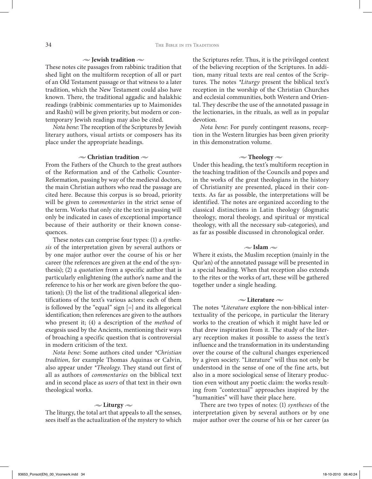#### $\sim$  **Jewish tradition**  $\sim$

These notes cite passages from rabbinic tradition that shed light on the multiform reception of all or part of an Old Testament passage or that witness to a later tradition, which the New Testament could also have known. There, the traditional aggadic and halakhic readings (rabbinic commentaries up to Maimonides and Rashi) will be given priority, but modern or contemporary Jewish readings may also be cited.

*Nota bene*: The reception of the Scriptures by Jewish literary authors, visual artists or composers has its place under the appropriate headings.

# **• Christian tradition •**

From the Fathers of the Church to the great authors of the Reformation and of the Catholic Counter-Reformation, passing by way of the medieval doctors, the main Christian authors who read the passage are cited here. Because this corpus is so broad, priority will be given to *commentaries* in the strict sense of the term. Works that only cite the text in passing will only be indicated in cases of exceptional importance because of their authority or their known consequences.

These notes can comprise four types: (1) a *synthesis* of the interpretation given by several authors or by one major author over the course of his or her career (the references are given at the end of the synthesis); (2) a *quotation* from a specific author that is particularly enlightening (the author's name and the reference to his or her work are given before the quotation); (3) the list of the traditional allegorical identifications of the text's various actors: each of them is followed by the "equal" sign [=] and its allegorical identification; then references are given to the authors who present it; (4) a description of the *method* of exegesis used by the Ancients, mentioning their ways of broaching a specific question that is controversial in modern criticism of the text.

*Nota bene*: Some authors cited under *\*Christian tradition*, for example Thomas Aquinas or Calvin, also appear under *\*Theology*. They stand out first of all as authors of *commentaries* on the biblical text and in second place as *users* of that text in their own theological works.

## $\sim$  Liturgy  $\sim$

The liturgy, the total art that appeals to all the senses, sees itself as the actualization of the mystery to which the Scriptures refer. Thus, it is the privileged context of the believing reception of the Scriptures. In addition, many ritual texts are real centos of the Scriptures. The notes *\*Liturgy* present the biblical text's reception in the worship of the Christian Churches and ecclesial communities, both Western and Oriental. They describe the use of the annotated passage in the lectionaries, in the rituals, as well as in popular devotion.

*Nota bene*: For purely contingent reasons, reception in the Western liturgies has been given priority in this demonstration volume.

#### $\sim$  **Theology**  $\sim$

Under this heading, the text's multiform reception in the teaching tradition of the Councils and popes and in the works of the great theologians in the history of Christianity are presented, placed in their contexts. As far as possible, the interpretations will be identified. The notes are organized according to the classical distinctions in Latin theology (dogmatic theology, moral theology, and spiritual or mystical theology, with all the necessary sub-categories), and as far as possible discussed in chronological order.

#### $\approx$  **Islam**  $\approx$

Where it exists, the Muslim reception (mainly in the Qur'an) of the annotated passage will be presented in a special heading. When that reception also extends to the rites or the works of art, these will be gathered together under a single heading.

#### **• Literature •**

The notes *\*Literature* explore the non-biblical intertextuality of the pericope, in particular the literary works to the creation of which it might have led or that drew inspiration from it. The study of the literary reception makes it possible to assess the text's influence and the transformation in its understanding over the course of the cultural changes experienced by a given society. "Literature" will thus not only be understood in the sense of one of the fine arts, but also in a more sociological sense of literary production even without any poetic claim: the works resulting from "contextual" approaches inspired by the "humanities" will have their place here.

There are two types of notes: (1) *syntheses* of the interpretation given by several authors or by one major author over the course of his or her career (as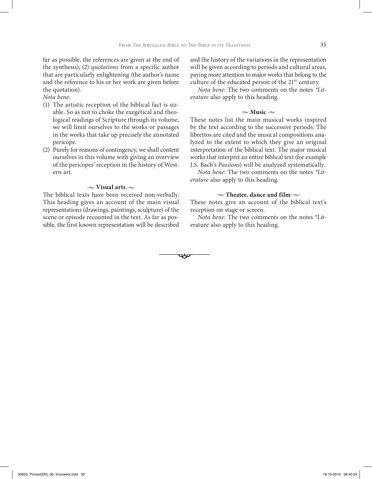$\overline{\phantom{a}}$ 

far as possible, the references are given at the end of the synthesis); (2) *quotations* from a specific author that are particularly enlightening (the author's name and the reference to his or her work are given before the quotation).

*Nota bene:*

- (1) The artistic reception of the biblical fact is sizable. So as not to choke the exegetical and theological readings of Scripture through its volume, we will limit ourselves to the works or passages in the works that take up precisely the annotated pericope.
- (2) Purely for reasons of contingency, we shall content ourselves in this volume with giving an overview of the pericopes' reception in the history of Western art.

#### $\sim$  Visual arts  $\sim$

The biblical texts have been received non-verbally. This heading gives an account of the main visual representations (drawings, paintings, sculpture) of the scene or episode recounted in the text. As far as possible, the first known representation will be described and the history of the variations in the representation will be given according to periods and cultural areas, paying more attention to major works that belong to the culture of the educated person of the  $21<sup>st</sup>$  century.

*Nota bene*: The two comments on the notes *\*Literature* also apply to this heading.

#### $\sim$ **Music**  $\sim$

These notes list the main musical works inspired by the text according to the successive periods. The librettos are cited and the musical compositions analyzed to the extent to which they give an original interpretation of the biblical text. The major musical works that interpret an entire biblical text (for example J.S. Bach's *Passions*) will be analyzed systematically.

*Nota bene*: The two comments on the notes *\*Literature* also apply to this heading.

# $\sim$  Theater, dance and film  $\sim$

These notes give an account of the biblical text's reception on stage or screen.

*Nota bene*: The two comments on the notes \*Literature also apply to this heading.